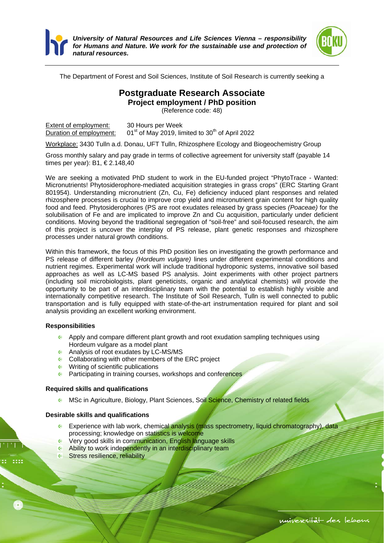



The Department of Forest and Soil Sciences, Institute of Soil Research is currently seeking a

## **Postgraduate Research Associate**

**Project employment / PhD position** 

(Reference code: 48)

Extent of employment: 30 Hours per Week Duration of employment:  $01<sup>st</sup>$  of May 2019, limited to 30<sup>th</sup> of April 2022

Workplace: 3430 Tulln a.d. Donau, UFT Tulln, Rhizosphere Ecology and Biogeochemistry Group

Gross monthly salary and pay grade in terms of collective agreement for university staff (payable 14 times per year): B1, € 2.148,40

We are seeking a motivated PhD student to work in the EU-funded project "PhytoTrace - Wanted: Micronutrients! Phytosiderophore-mediated acquisition strategies in grass crops" (ERC Starting Grant 801954). Understanding micronutrient (Zn, Cu, Fe) deficiency induced plant responses and related rhizosphere processes is crucial to improve crop yield and micronutrient grain content for high quality food and feed. Phytosiderophores (PS are root exudates released by grass species *(Poaceae)* for the solubilisation of Fe and are implicated to improve Zn and Cu acquisition, particularly under deficient conditions. Moving beyond the traditional segregation of "soil-free" and soil-focused research, the aim of this project is uncover the interplay of PS release, plant genetic responses and rhizosphere processes under natural growth conditions.

Within this framework, the focus of this PhD position lies on investigating the growth performance and PS release of different barley *(Hordeum vulgare)* lines under different experimental conditions and nutrient regimes. Experimental work will include traditional hydroponic systems, innovative soil based approaches as well as LC-MS based PS analysis. Joint experiments with other project partners (including soil microbiologists, plant geneticists, organic and analytical chemists) will provide the opportunity to be part of an interdisciplinary team with the potential to establish highly visible and internationally competitive research. The Institute of Soil Research, Tulln is well connected to public transportation and is fully equipped with state-of-the-art instrumentation required for plant and soil analysis providing an excellent working environment.

## **Responsibilities**

- Apply and compare different plant growth and root exudation sampling techniques using Hordeum vulgare as a model plant
- Analysis of root exudates by LC-MS/MS
- **Collaborating with other members of the ERC project**
- **Writing of scientific publications**
- **Participating in training courses, workshops and conferences**

## **Required skills and qualifications**

**MSc in Agriculture, Biology, Plant Sciences, Soil Science, Chemistry of related fields** 

## **Desirable skills and qualifications**

- **Experience with lab work, chemical analysis (mass spectrometry, liquid chromatography), data** processing; knowledge on statistics is welcome
- **C** Very good skills in communication, English language skills<br> **C** Ability to work independently in an interdisciplinary team
- Ability to work independently in an interdisciplinary team
- **Stress resilience, reliability**

```
universität des lebens
```